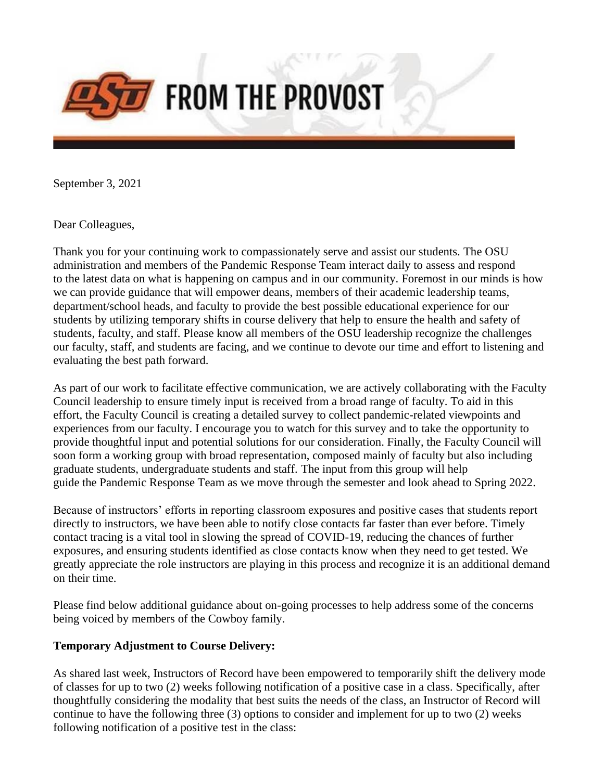

September 3, 2021

Dear Colleagues,

Thank you for your continuing work to compassionately serve and assist our students. The OSU administration and members of the Pandemic Response Team interact daily to assess and respond to the latest data on what is happening on campus and in our community. Foremost in our minds is how we can provide guidance that will empower deans, members of their academic leadership teams, department/school heads, and faculty to provide the best possible educational experience for our students by utilizing temporary shifts in course delivery that help to ensure the health and safety of students, faculty, and staff. Please know all members of the OSU leadership recognize the challenges our faculty, staff, and students are facing, and we continue to devote our time and effort to listening and evaluating the best path forward.

As part of our work to facilitate effective communication, we are actively collaborating with the Faculty Council leadership to ensure timely input is received from a broad range of faculty. To aid in this effort, the Faculty Council is creating a detailed survey to collect pandemic-related viewpoints and experiences from our faculty. I encourage you to watch for this survey and to take the opportunity to provide thoughtful input and potential solutions for our consideration. Finally, the Faculty Council will soon form a working group with broad representation, composed mainly of faculty but also including graduate students, undergraduate students and staff. The input from this group will help guide the Pandemic Response Team as we move through the semester and look ahead to Spring 2022.

Because of instructors' efforts in reporting classroom exposures and positive cases that students report directly to instructors, we have been able to notify close contacts far faster than ever before. Timely contact tracing is a vital tool in slowing the spread of COVID-19, reducing the chances of further exposures, and ensuring students identified as close contacts know when they need to get tested. We greatly appreciate the role instructors are playing in this process and recognize it is an additional demand on their time.

Please find below additional guidance about on-going processes to help address some of the concerns being voiced by members of the Cowboy family.

## **Temporary Adjustment to Course Delivery:**

As shared last week, Instructors of Record have been empowered to temporarily shift the delivery mode of classes for up to two (2) weeks following notification of a positive case in a class. Specifically, after thoughtfully considering the modality that best suits the needs of the class, an Instructor of Record will continue to have the following three (3) options to consider and implement for up to two (2) weeks following notification of a positive test in the class: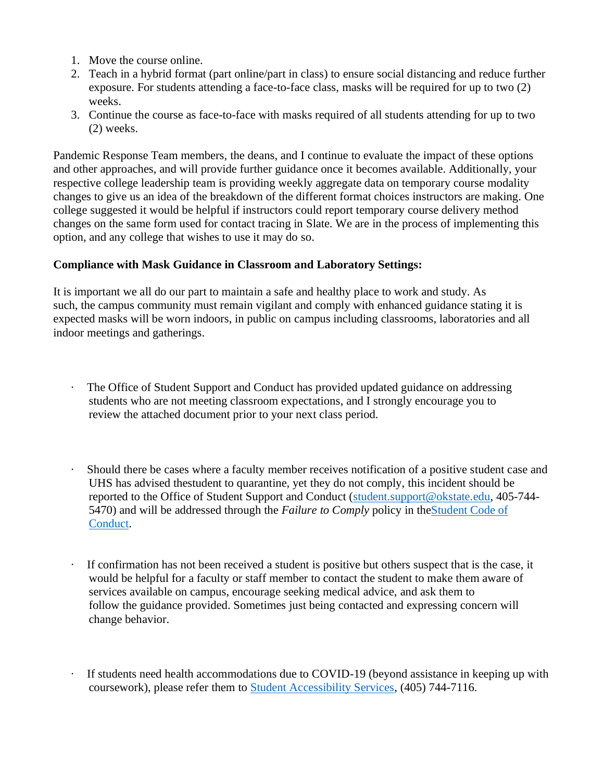- 1. Move the course online.
- 2. Teach in a hybrid format (part online/part in class) to ensure social distancing and reduce further exposure. For students attending a face-to-face class, masks will be required for up to two (2) weeks.
- 3. Continue the course as face-to-face with masks required of all students attending for up to two (2) weeks.

Pandemic Response Team members, the deans, and I continue to evaluate the impact of these options and other approaches, and will provide further guidance once it becomes available. Additionally, your respective college leadership team is providing weekly aggregate data on temporary course modality changes to give us an idea of the breakdown of the different format choices instructors are making. One college suggested it would be helpful if instructors could report temporary course delivery method changes on the same form used for contact tracing in Slate. We are in the process of implementing this option, and any college that wishes to use it may do so.

## **Compliance with Mask Guidance in Classroom and Laboratory Settings:**

It is important we all do our part to maintain a safe and healthy place to work and study. As such, the campus community must remain vigilant and comply with enhanced guidance stating it is expected masks will be worn indoors, in public on campus including classrooms, laboratories and all indoor meetings and gatherings.

- The Office of Student Support and Conduct has provided updated guidance on addressing students who are not meeting classroom expectations, and I strongly encourage you to review the attached document prior to your next class period.
- · Should there be cases where a faculty member receives notification of a positive student case and UHS has advised thestudent to quarantine, yet they do not comply, this incident should be reported to the Office of Student Support and Conduct [\(student.support@okstate.edu,](mailto:student.support@okstate.edu) 405-744- 5470) and will be addressed through the *Failure to Comply* policy in th[eStudent Code of](https://nam04.safelinks.protection.outlook.com/?url=https%3A%2F%2Fssc.okstate.edu%2Fstudentcodeofconduct2021-22.pdf&data=04%7C01%7Cbobbikay.lewis%40okstate.edu%7Caf9141d03fbc4cd2361c08d96f065589%7C2a69c91de8494e34a230cdf8b27e1964%7C0%7C0%7C637662895692150563%7CUnknown%7CTWFpbGZsb3d8eyJWIjoiMC4wLjAwMDAiLCJQIjoiV2luMzIiLCJBTiI6Ik1haWwiLCJXVCI6Mn0%3D%7C1000&sdata=e4hRwC%2FpO4Hxa%2B04hcmew98kuU1ynIPSw%2Bo3pQJHzzc%3D&reserved=0)  [Conduct.](https://nam04.safelinks.protection.outlook.com/?url=https%3A%2F%2Fssc.okstate.edu%2Fstudentcodeofconduct2021-22.pdf&data=04%7C01%7Cbobbikay.lewis%40okstate.edu%7Caf9141d03fbc4cd2361c08d96f065589%7C2a69c91de8494e34a230cdf8b27e1964%7C0%7C0%7C637662895692150563%7CUnknown%7CTWFpbGZsb3d8eyJWIjoiMC4wLjAwMDAiLCJQIjoiV2luMzIiLCJBTiI6Ik1haWwiLCJXVCI6Mn0%3D%7C1000&sdata=e4hRwC%2FpO4Hxa%2B04hcmew98kuU1ynIPSw%2Bo3pQJHzzc%3D&reserved=0)
- If confirmation has not been received a student is positive but others suspect that is the case, it would be helpful for a faculty or staff member to contact the student to make them aware of services available on campus, encourage seeking medical advice, and ask them to follow the guidance provided. Sometimes just being contacted and expressing concern will change behavior.
- If students need health accommodations due to COVID-19 (beyond assistance in keeping up with coursework), please refer them to [Student Accessibility Services,](https://nam04.safelinks.protection.outlook.com/?url=https%3A%2F%2Faccessibility.okstate.edu%2F&data=04%7C01%7Cbobbikay.lewis%40okstate.edu%7Caf9141d03fbc4cd2361c08d96f065589%7C2a69c91de8494e34a230cdf8b27e1964%7C0%7C0%7C637662895692160519%7CUnknown%7CTWFpbGZsb3d8eyJWIjoiMC4wLjAwMDAiLCJQIjoiV2luMzIiLCJBTiI6Ik1haWwiLCJXVCI6Mn0%3D%7C1000&sdata=Ycsu76vgiYe3xZiRYIRu9qmcKaXCiwrayEwXH7y3xgM%3D&reserved=0) (405) 744-7116.